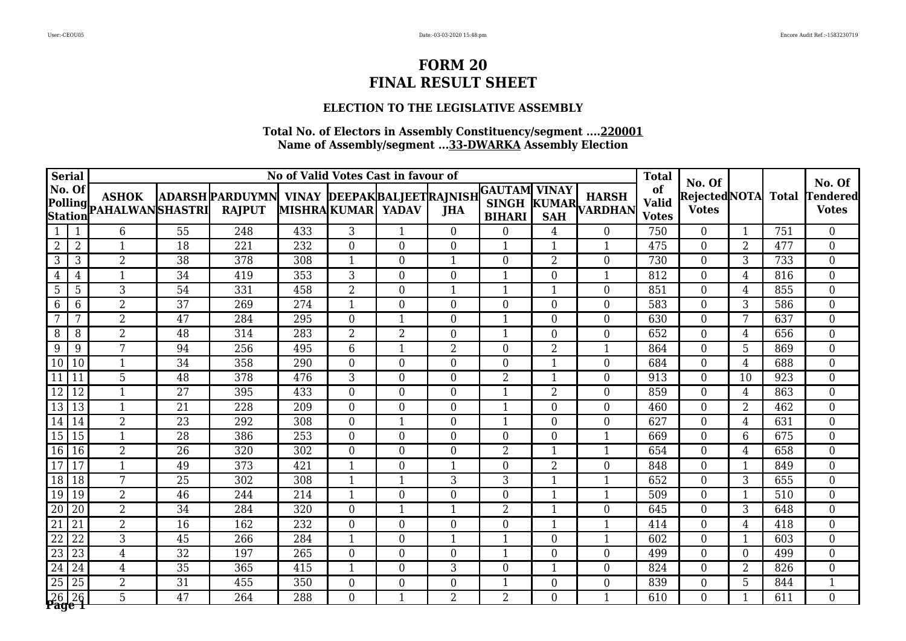### **ELECTION TO THE LEGISLATIVE ASSEMBLY**

|                        | <b>Serial</b><br>No of Valid Votes Cast in favour of<br>No. Of<br>ADARSH PARDUYMN VINAY DEEPAK BALJEET RAJNISH |                                                                 |                 |                  |                  |                   |                  |                  |                                |                  |                     | <b>Total</b>                       | No. Of                              |                  |                  | No. Of                          |
|------------------------|----------------------------------------------------------------------------------------------------------------|-----------------------------------------------------------------|-----------------|------------------|------------------|-------------------|------------------|------------------|--------------------------------|------------------|---------------------|------------------------------------|-------------------------------------|------------------|------------------|---------------------------------|
|                        |                                                                                                                | <b>ASHOK</b><br>Polling <b>ASHAN</b><br><b>PAHALWAN</b> SHASTRI |                 | <b>RAJPUT</b>    |                  | MISHRAKUMAR YADAV |                  | <b>JHA</b>       | GAUTAM  VINAY<br><b>BIHARI</b> | <b>SAH</b>       | SINGH KUMAR HANDHAN | of<br><b>Valid</b><br><b>Votes</b> | <b>RejectedNOTA</b><br><b>Votes</b> |                  | <b>Total</b>     | <b>Tendered</b><br><b>Votes</b> |
| $\mathbf{1}$           |                                                                                                                | $\overline{6}$                                                  | $\overline{55}$ | 248              | 433              | $\overline{3}$    | $\mathbf{1}$     | $\overline{0}$   | $\overline{0}$                 | $\overline{4}$   | $\overline{0}$      | 750                                | $\overline{0}$                      | $\mathbf{1}$     | $\overline{751}$ | $\overline{0}$                  |
| $\overline{2}$         | $\overline{2}$                                                                                                 | $\mathbf{1}$                                                    | 18              | 221              | 232              | $\overline{0}$    | $\boldsymbol{0}$ | $\overline{0}$   | 1                              | $\mathbf{1}$     | $\mathbf{1}$        | 475                                | $\boldsymbol{0}$                    | $\overline{2}$   | 477              | $\overline{0}$                  |
| 3                      | $\mathfrak{Z}$                                                                                                 | $\overline{2}$                                                  | 38              | 378              | 308              |                   | $\boldsymbol{0}$ | $\mathbf{1}$     | $\overline{0}$                 | $\overline{2}$   | $\overline{0}$      | 730                                | $\boldsymbol{0}$                    | 3                | 733              | $\overline{0}$                  |
| $\overline{4}$         | $\overline{4}$                                                                                                 | $\mathbf{1}$                                                    | 34              | 419              | 353              | 3                 | $\boldsymbol{0}$ | $\overline{0}$   | 1                              | $\boldsymbol{0}$ | $\mathbf{1}$        | 812                                | $\boldsymbol{0}$                    | $\overline{4}$   | 816              | $\boldsymbol{0}$                |
| 5                      | 5                                                                                                              | 3                                                               | 54              | 331              | 458              | $\overline{2}$    | $\boldsymbol{0}$ | $\mathbf{1}$     | 1                              | $\overline{1}$   | $\overline{0}$      | 851                                | $\boldsymbol{0}$                    | $\overline{4}$   | 855              | $\boldsymbol{0}$                |
| 6                      | 6                                                                                                              | $\overline{2}$                                                  | $\overline{37}$ | 269              | 274              |                   | $\mathbf{0}$     | $\overline{0}$   | $\boldsymbol{0}$               | $\boldsymbol{0}$ | $\overline{0}$      | 583                                | $\boldsymbol{0}$                    | 3                | 586              | $\overline{0}$                  |
| $\overline{7}$         | 7                                                                                                              | $\overline{2}$                                                  | 47              | 284              | 295              | $\Omega$          | $\mathbf{1}$     | $\Omega$         | $\mathbf{1}$                   | $\overline{0}$   | $\overline{0}$      | 630                                | $\boldsymbol{0}$                    | 7                | 637              | $\overline{0}$                  |
| 8                      | 8                                                                                                              | $\overline{2}$                                                  | 48              | 314              | 283              | $\overline{2}$    | $\overline{2}$   | $\overline{0}$   | $\mathbf{1}$                   | $\boldsymbol{0}$ | $\boldsymbol{0}$    | 652                                | $\boldsymbol{0}$                    | $\overline{4}$   | 656              | $\overline{0}$                  |
| 9                      | 9                                                                                                              | 7                                                               | 94              | 256              | 495              | 6                 | $\mathbf{1}$     | $\overline{2}$   | $\overline{0}$                 | $\overline{2}$   | $\mathbf{1}$        | 864                                | $\overline{0}$                      | 5                | 869              | $\overline{0}$                  |
| 10 <sup>1</sup>        | 10                                                                                                             | $\mathbf{1}$                                                    | $\overline{34}$ | 358              | 290              | $\overline{0}$    | $\boldsymbol{0}$ | $\overline{0}$   | $\overline{0}$                 | $\mathbf{1}$     | $\overline{0}$      | 684                                | $\mathbf{0}$                        | $\overline{4}$   | 688              | $\overline{0}$                  |
| 11                     | 11                                                                                                             | 5                                                               | 48              | 378              | 476              | 3                 | $\mathbf{0}$     | $\overline{0}$   | $\overline{2}$                 | $\mathbf{1}$     | $\overline{0}$      | 913                                | $\mathbf{0}$                        | 10               | 923              | $\overline{0}$                  |
| $\overline{12}$        | $\sqrt{12}$                                                                                                    | $\mathbf{1}$                                                    | $\overline{27}$ | 395              | 433              | $\boldsymbol{0}$  | $\boldsymbol{0}$ | $\boldsymbol{0}$ | $\mathbf{1}$                   | $\overline{2}$   | $\overline{0}$      | 859                                | $\overline{0}$                      | $\overline{4}$   | 863              | $\overline{0}$                  |
| 13 13                  |                                                                                                                | $\mathbf{1}$                                                    | 21              | 228              | 209              | $\Omega$          | $\boldsymbol{0}$ | $\overline{0}$   | $\mathbf{1}$                   | $\boldsymbol{0}$ | $\overline{0}$      | 460                                | $\boldsymbol{0}$                    | $\overline{2}$   | 462              | $\overline{0}$                  |
| 14 14                  |                                                                                                                | $\overline{2}$                                                  | $\overline{23}$ | 292              | 308              | $\overline{0}$    | $\mathbf{1}$     | $\overline{0}$   | 1                              | $\overline{0}$   | $\overline{0}$      | 627                                | $\boldsymbol{0}$                    | $\overline{4}$   | 631              | $\boldsymbol{0}$                |
| 15                     | 15                                                                                                             | $\mathbf{1}$                                                    | 28              | 386              | 253              | $\overline{0}$    | $\mathbf{0}$     | $\overline{0}$   | $\overline{0}$                 | $\boldsymbol{0}$ | $\mathbf{1}$        | 669                                | $\boldsymbol{0}$                    | 6                | 675              | $\overline{0}$                  |
| 16 16                  |                                                                                                                | $\overline{2}$                                                  | $\overline{26}$ | 320              | 302              | $\Omega$          | $\mathbf{0}$     | $\theta$         | $\overline{2}$                 | $\mathbf{1}$     | $\mathbf{1}$        | 654                                | $\boldsymbol{0}$                    | $\overline{4}$   | 658              | $\overline{0}$                  |
| 17                     | 17                                                                                                             | $\mathbf{1}$                                                    | 49              | $\overline{373}$ | 421              | $\mathbf{1}$      | $\overline{0}$   | $\mathbf{1}$     | $\boldsymbol{0}$               | $\overline{2}$   | $\overline{0}$      | 848                                | $\boldsymbol{0}$                    | $\mathbf{1}$     | 849              | $\overline{0}$                  |
| 18 18                  |                                                                                                                | 7                                                               | 25              | 302              | 308              | 1                 | $\mathbf{1}$     | 3                | 3                              | $\mathbf{1}$     | $\mathbf{1}$        | 652                                | $\overline{0}$                      | 3                | 655              | $\overline{0}$                  |
| 19 19                  |                                                                                                                | $\overline{2}$                                                  | 46              | 244              | 214              | $\mathbf{1}$      | $\mathbf{0}$     | $\overline{0}$   | $\boldsymbol{0}$               | $\mathbf 1$      | $\mathbf{1}$        | 509                                | $\overline{0}$                      | $\mathbf{1}$     | 510              | $\overline{0}$                  |
| $\overline{20}$        | 20                                                                                                             | 2                                                               | $\overline{34}$ | 284              | 320              | $\overline{0}$    | $\mathbf{1}$     | $\mathbf{1}$     | $\overline{2}$                 | $\mathbf 1$      | $\overline{0}$      | 645                                | $\mathbf 0$                         | $\overline{3}$   | 648              | $\overline{0}$                  |
| 21                     | 21                                                                                                             | $\overline{2}$                                                  | 16              | 162              | 232              | $\overline{0}$    | $\overline{0}$   | $\overline{0}$   | $\overline{0}$                 | $\mathbf{1}$     | $\mathbf{1}$        | 414                                | $\mathbf{0}$                        | $\overline{4}$   | 418              | $\overline{0}$                  |
| $\overline{22}$        | 22                                                                                                             | $\overline{3}$                                                  | 45              | 266              | 284              |                   | $\overline{0}$   | $\mathbf{1}$     | $\mathbf{1}$                   | $\boldsymbol{0}$ | 1                   | 602                                | $\mathbf{0}$                        | $\mathbf{1}$     | 603              | $\overline{0}$                  |
| $\overline{23}$        | <sup>23</sup>                                                                                                  | $\overline{4}$                                                  | $\overline{32}$ | 197              | $\overline{265}$ | $\overline{0}$    | $\overline{0}$   | $\overline{0}$   | $\mathbf{1}$                   | $\overline{0}$   | $\overline{0}$      | 499                                | $\mathbf 0$                         | $\boldsymbol{0}$ | 499              | $\overline{0}$                  |
| $\overline{24}$        | 24                                                                                                             | $\overline{4}$                                                  | 35              | 365              | 415              |                   | $\mathbf{0}$     | 3                | $\boldsymbol{0}$               | $\overline{1}$   | $\overline{0}$      | 824                                | $\boldsymbol{0}$                    | $\overline{2}$   | 826              | $\boldsymbol{0}$                |
| $\overline{25}$        | 25                                                                                                             | $\overline{2}$                                                  | 31              | 455              | 350              | $\boldsymbol{0}$  | $\boldsymbol{0}$ | $\boldsymbol{0}$ | $\mathbf{1}$                   | $\boldsymbol{0}$ | $\overline{0}$      | 839                                | $\boldsymbol{0}$                    | 5                | 844              | $\mathbf{1}$                    |
| 26 26<br><b>Page 1</b> |                                                                                                                | $5\overline{)}$                                                 | 47              | 264              | 288              | $\Omega$          | $\mathbf{1}$     | $\overline{2}$   | $\overline{2}$                 | $\overline{0}$   | 1                   | 610                                | $\overline{0}$                      | $\mathbf 1$      | 611              | $\overline{0}$                  |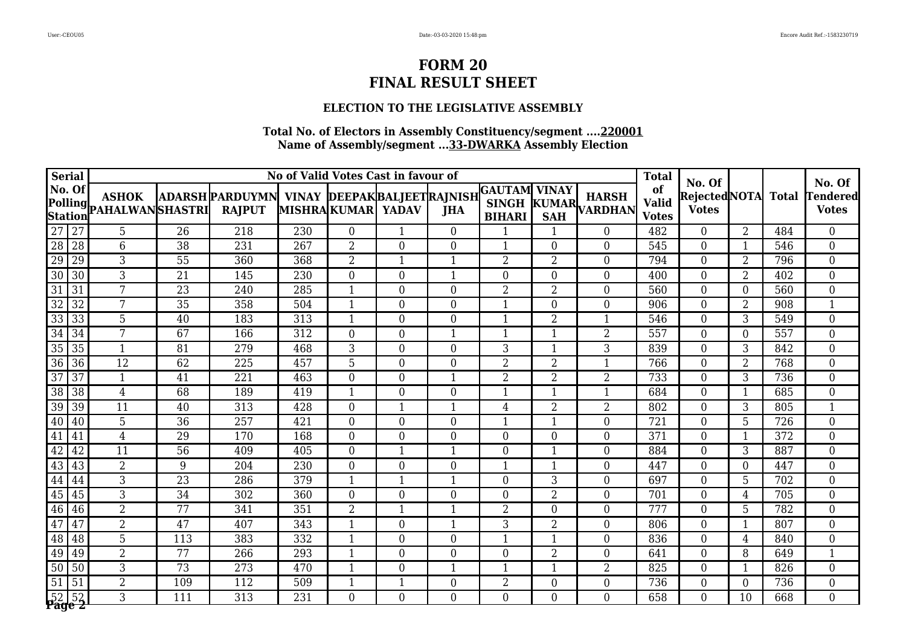### **ELECTION TO THE LEGISLATIVE ASSEMBLY**

|                 | <b>Serial</b>          |                                         |                 |                                                                  |                  |                   | No of Valid Votes Cast in favour of |                  |                                                |                  |                               | <b>Total</b>                       | No. Of                        |                  |              | No. Of                    |
|-----------------|------------------------|-----------------------------------------|-----------------|------------------------------------------------------------------|------------------|-------------------|-------------------------------------|------------------|------------------------------------------------|------------------|-------------------------------|------------------------------------|-------------------------------|------------------|--------------|---------------------------|
|                 | No. Of                 | <b>ASHOK</b><br>Polling PAHALWANSHASTRI |                 | ADARSH PARDUYMN  VINAY  DEEPAK BALJEET RAJNISH <br><b>RAJPUT</b> |                  | MISHRAKUMAR YADAV |                                     | <b>JHA</b>       | <b>GAUTAM</b><br><b>SINGH</b><br><b>BIHARI</b> | <b>VINAY</b>     | <b>HARSH</b><br>KUMAR VARDHAN | of<br><b>Valid</b><br><b>Votes</b> | Rejected NOTA<br><b>Votes</b> |                  | <b>Total</b> | Tendered <br><b>Votes</b> |
| $\overline{27}$ | $\sqrt{27}$            | $\overline{5}$                          | $\overline{26}$ | $\overline{218}$                                                 | $\overline{230}$ | $\overline{0}$    | $\mathbf{1}$                        | $\overline{0}$   | 1                                              | 1                | $\overline{0}$                | 482                                | $\overline{0}$                | $\overline{2}$   | 484          | $\overline{0}$            |
| $\overline{28}$ | $\overline{28}$        | $6\phantom{1}$                          | $\overline{38}$ | 231                                                              | $\overline{267}$ | $\overline{2}$    | $\boldsymbol{0}$                    | $\overline{0}$   | 1                                              | $\boldsymbol{0}$ | $\overline{0}$                | 545                                | $\boldsymbol{0}$              | $\mathbf{1}$     | 546          | $\boldsymbol{0}$          |
| 29              | 29                     | 3                                       | 55              | 360                                                              | 368              | $\overline{2}$    | $\mathbf{1}$                        | $\mathbf{1}$     | $\overline{2}$                                 | $\overline{2}$   | $\overline{0}$                | 794                                | $\boldsymbol{0}$              | $\overline{2}$   | 796          | $\overline{0}$            |
| $\overline{30}$ | 30                     | 3                                       | 21              | 145                                                              | 230              | $\overline{0}$    | $\boldsymbol{0}$                    | $\mathbf{1}$     | $\overline{0}$                                 | $\mathbf{0}$     | $\boldsymbol{0}$              | 400                                | $\boldsymbol{0}$              | $\overline{2}$   | 402          | $\boldsymbol{0}$          |
| 31              | 31                     | 7                                       | $\overline{23}$ | 240                                                              | 285              | $\mathbf{1}$      | $\overline{0}$                      | $\overline{0}$   | $\overline{2}$                                 | $\overline{2}$   | $\theta$                      | 560                                | $\overline{0}$                | $\overline{0}$   | 560          | $\overline{0}$            |
| $\overline{32}$ | 32                     | 7                                       | $\overline{35}$ | 358                                                              | 504              | $\mathbf{1}$      | $\boldsymbol{0}$                    | $\boldsymbol{0}$ | 1                                              | $\boldsymbol{0}$ | $\boldsymbol{0}$              | 906                                | $\boldsymbol{0}$              | $\overline{2}$   | 908          | $\mathbf{1}$              |
| 33              | 33                     | $5\phantom{.}$                          | 40              | 183                                                              | 313              | $\mathbf{1}$      | $\boldsymbol{0}$                    | $\overline{0}$   | 1                                              | $\overline{2}$   | $\mathbf{1}$                  | 546                                | $\boldsymbol{0}$              | 3                | 549          | $\boldsymbol{0}$          |
| 34              | 34                     | 7                                       | 67              | 166                                                              | 312              | $\boldsymbol{0}$  | $\boldsymbol{0}$                    | $\mathbf{1}$     | 1                                              | 1                | $\overline{2}$                | 557                                | $\boldsymbol{0}$              | $\boldsymbol{0}$ | 557          | $\boldsymbol{0}$          |
| $\overline{35}$ | 35                     | $\mathbf{1}$                            | 81              | 279                                                              | 468              | 3                 | $\boldsymbol{0}$                    | $\boldsymbol{0}$ | 3                                              | $\mathbf{1}$     | 3                             | 839                                | $\boldsymbol{0}$              | 3                | 842          | $\boldsymbol{0}$          |
| 36              | 36                     | 12                                      | 62              | 225                                                              | 457              | 5                 | $\boldsymbol{0}$                    | $\boldsymbol{0}$ | $\overline{2}$                                 | $\overline{2}$   | $\mathbf{1}$                  | 766                                | $\boldsymbol{0}$              | $\overline{2}$   | 768          | $\boldsymbol{0}$          |
| 37              | 37                     | 1                                       | 41              | 221                                                              | 463              | $\boldsymbol{0}$  | $\boldsymbol{0}$                    | $\mathbf{1}$     | $\overline{2}$                                 | $\overline{2}$   | $\overline{2}$                | 733                                | $\boldsymbol{0}$              | $\overline{3}$   | 736          | $\boldsymbol{0}$          |
| $\overline{38}$ | 38                     | $\overline{4}$                          | 68              | 189                                                              | 419              | 1                 | $\boldsymbol{0}$                    | $\overline{0}$   | 1                                              | 1                | $\mathbf{1}$                  | 684                                | $\boldsymbol{0}$              | $\mathbf{1}$     | 685          | $\boldsymbol{0}$          |
| $\overline{39}$ | 39                     | 11                                      | 40              | 313                                                              | 428              | $\Omega$          | $\mathbf{1}$                        | $\mathbf{1}$     | $\overline{4}$                                 | 2                | $\overline{2}$                | 802                                | $\boldsymbol{0}$              | 3                | 805          | $\mathbf{1}$              |
| 40              | 40                     | 5                                       | 36              | 257                                                              | 421              | $\overline{0}$    | $\overline{0}$                      | $\overline{0}$   | 1                                              | 1                | $\overline{0}$                | 721                                | $\overline{0}$                | 5                | 726          | $\overline{0}$            |
| 41              | 41                     | $\overline{4}$                          | 29              | 170                                                              | 168              | $\overline{0}$    | $\boldsymbol{0}$                    | $\overline{0}$   | $\overline{0}$                                 | $\overline{0}$   | $\overline{0}$                | 371                                | $\boldsymbol{0}$              | $\mathbf{1}$     | 372          | $\boldsymbol{0}$          |
| $\overline{42}$ | 42                     | $\overline{11}$                         | $\overline{56}$ | 409                                                              | $\overline{405}$ | $\overline{0}$    | $\mathbf{1}$                        | $\mathbf{1}$     | $\Omega$                                       | 1                | $\theta$                      | 884                                | $\overline{0}$                | 3                | 887          | $\overline{0}$            |
| 43              | 43                     | $\overline{2}$                          | $9\,$           | 204                                                              | $\overline{230}$ | $\overline{0}$    | $\boldsymbol{0}$                    | $\overline{0}$   | 1                                              | $\mathbf{1}$     | $\boldsymbol{0}$              | 447                                | $\boldsymbol{0}$              | $\boldsymbol{0}$ | 447          | $\boldsymbol{0}$          |
| 44              | 44                     | 3                                       | 23              | 286                                                              | 379              | $\mathbf{1}$      | $\overline{1}$                      | $\mathbf{1}$     | $\overline{0}$                                 | 3                | $\overline{0}$                | 697                                | $\boldsymbol{0}$              | 5                | 702          | $\overline{0}$            |
| 45              | 45                     | 3                                       | $\overline{34}$ | 302                                                              | 360              | $\overline{0}$    | $\boldsymbol{0}$                    | $\boldsymbol{0}$ | $\boldsymbol{0}$                               | $\overline{2}$   | $\boldsymbol{0}$              | 701                                | $\boldsymbol{0}$              | $\overline{4}$   | 705          | $\overline{0}$            |
| 46              | 46                     | 2                                       | $\overline{77}$ | 341                                                              | 351              | $\overline{2}$    | $\mathbf{1}$                        | $\mathbf{1}$     | $\overline{2}$                                 | $\boldsymbol{0}$ | $\overline{0}$                | 777                                | $\boldsymbol{0}$              | 5                | 782          | $\boldsymbol{0}$          |
| 47              | 47                     | $\overline{2}$                          | 47              | 407                                                              | 343              | $\mathbf{1}$      | $\boldsymbol{0}$                    | $\mathbf{1}$     | 3                                              | $\overline{2}$   | $\boldsymbol{0}$              | 806                                | $\boldsymbol{0}$              | $\mathbf{1}$     | 807          | $\boldsymbol{0}$          |
| 48              | 48                     | 5                                       | 113             | 383                                                              | 332              | $\mathbf{1}$      | $\boldsymbol{0}$                    | $\boldsymbol{0}$ | $\mathbf{1}$                                   | $\mathbf{1}$     | $\boldsymbol{0}$              | 836                                | $\boldsymbol{0}$              | $\overline{4}$   | 840          | $\boldsymbol{0}$          |
| 49              | $ 49\rangle$           | $\overline{2}$                          | $\overline{77}$ | 266                                                              | 293              | $\mathbf{1}$      | $\overline{0}$                      | $\overline{0}$   | $\overline{0}$                                 | $\overline{2}$   | $\overline{0}$                | 641                                | $\boldsymbol{0}$              | 8                | 649          | $\mathbf{1}$              |
| $\overline{50}$ | 50                     | 3                                       | $\overline{73}$ | 273                                                              | 470              | $\mathbf{1}$      | $\boldsymbol{0}$                    | $\mathbf{1}$     |                                                | 1                | $\overline{2}$                | 825                                | $\boldsymbol{0}$              | $\mathbf{1}$     | 826          | $\boldsymbol{0}$          |
| $\overline{51}$ | 51                     | $\overline{2}$                          | 109             | 112                                                              | 509              |                   | $\mathbf{1}$                        | $\boldsymbol{0}$ | 2                                              | $\mathbf{0}$     | $\boldsymbol{0}$              | 736                                | $\boldsymbol{0}$              | $\boldsymbol{0}$ | 736          | $\boldsymbol{0}$          |
|                 | 52 52<br><b>Page 2</b> | 3                                       | 111             | 313                                                              | 231              | $\overline{0}$    | $\overline{0}$                      | $\overline{0}$   | $\overline{0}$                                 | $\overline{0}$   | $\theta$                      | 658                                | $\overline{0}$                | 10               | 668          | $\overline{0}$            |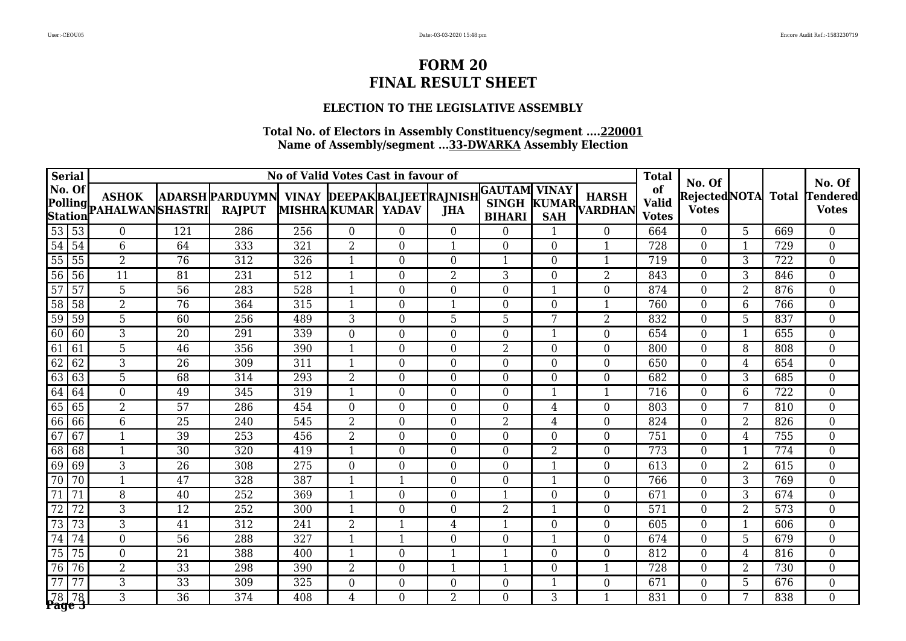### **ELECTION TO THE LEGISLATIVE ASSEMBLY**

|                 | <b>Serial</b>     |                                         |                 |                                                                      |     |                   | No of Valid Votes Cast in favour of |                  |                  |                  |                               | <b>Total</b>                       | No. Of                        |                |              | No. Of                          |
|-----------------|-------------------|-----------------------------------------|-----------------|----------------------------------------------------------------------|-----|-------------------|-------------------------------------|------------------|------------------|------------------|-------------------------------|------------------------------------|-------------------------------|----------------|--------------|---------------------------------|
|                 | No. Of            | <b>ASHOK</b><br>Polling PAHALWANSHASTRI |                 | ADARSH PARDUYMN VINAY DEEPAK BALJEET RAJNISH GAUTAM<br><b>RAJPUT</b> |     | MISHRAKUMAR YADAV |                                     | <b>JHA</b>       | <b>BIHARI</b>    | <b>VINAY</b>     | <b>HARSH</b><br>KUMAR VARDHAN | of<br><b>Valid</b><br><b>Votes</b> | Rejected NOTA<br><b>Votes</b> |                | <b>Total</b> | <b>Tendered</b><br><b>Votes</b> |
|                 | 53 53             | $\overline{0}$                          | 121             | 286                                                                  | 256 | $\overline{0}$    | $\overline{0}$                      | $\overline{0}$   | $\overline{0}$   | $\mathbf{1}$     | $\theta$                      | 664                                | $\overline{0}$                | $\overline{5}$ | 669          | $\overline{0}$                  |
| $\overline{54}$ | $\sqrt{54}$       | 6                                       | 64              | 333                                                                  | 321 | 2                 | $\overline{0}$                      | $\mathbf{1}$     | $\overline{0}$   | $\overline{0}$   | $\mathbf 1$                   | 728                                | $\overline{0}$                | 1              | 729          | $\boldsymbol{0}$                |
|                 | 55 55             | $\overline{2}$                          | 76              | 312                                                                  | 326 | $\mathbf{1}$      | $\boldsymbol{0}$                    | $\overline{0}$   | 1                | $\overline{0}$   | $\mathbf{1}$                  | 719                                | $\boldsymbol{0}$              | 3              | 722          | $\boldsymbol{0}$                |
| $\overline{56}$ | 56                | 11                                      | 81              | 231                                                                  | 512 | $\mathbf{1}$      | $\overline{0}$                      | $\overline{2}$   | 3                | $\boldsymbol{0}$ | $\overline{2}$                | 843                                | $\boldsymbol{0}$              | 3              | 846          | $\boldsymbol{0}$                |
| $\overline{57}$ | 57                | $\overline{5}$                          | $\overline{56}$ | 283                                                                  | 528 | $\mathbf{1}$      | $\overline{0}$                      | $\overline{0}$   | $\overline{0}$   | $\mathbf{1}$     | $\Omega$                      | 874                                | $\overline{0}$                | $\overline{2}$ | 876          | $\overline{0}$                  |
| $\overline{58}$ | 58                | $\overline{2}$                          | $\overline{76}$ | 364                                                                  | 315 | $\mathbf{1}$      | $\boldsymbol{0}$                    | $\mathbf{1}$     | $\boldsymbol{0}$ | $\overline{0}$   | $\mathbf{1}$                  | 760                                | $\boldsymbol{0}$              | $6\phantom{1}$ | 766          | $\overline{0}$                  |
| 59              | 59                | $5\phantom{.}$                          | 60              | 256                                                                  | 489 | 3                 | $\boldsymbol{0}$                    | 5                | 5                | 7                | $\overline{2}$                | 832                                | $\boldsymbol{0}$              | 5              | 837          | $\boldsymbol{0}$                |
| 60              | $\sqrt{60}$       | 3                                       | 20              | 291                                                                  | 339 | $\overline{0}$    | $\boldsymbol{0}$                    | $\boldsymbol{0}$ | $\boldsymbol{0}$ | $\mathbf{1}$     | $\boldsymbol{0}$              | 654                                | $\boldsymbol{0}$              | $\mathbf{1}$   | 655          | $\boldsymbol{0}$                |
| 61              | l 61              | 5                                       | 46              | 356                                                                  | 390 | $\mathbf{1}$      | $\boldsymbol{0}$                    | $\overline{0}$   | $\overline{2}$   | $\boldsymbol{0}$ | $\boldsymbol{0}$              | 800                                | $\overline{0}$                | 8              | 808          | $\boldsymbol{0}$                |
| 62              | 62                | 3                                       | 26              | 309                                                                  | 311 | $\mathbf{1}$      | $\boldsymbol{0}$                    | $\overline{0}$   | $\boldsymbol{0}$ | $\boldsymbol{0}$ | $\overline{0}$                | 650                                | $\boldsymbol{0}$              | $\overline{4}$ | 654          | $\boldsymbol{0}$                |
| 63              | 63                | $\overline{5}$                          | 68              | 314                                                                  | 293 | $\overline{2}$    | $\boldsymbol{0}$                    | $\overline{0}$   | $\overline{0}$   | $\boldsymbol{0}$ | $\overline{0}$                | 682                                | $\boldsymbol{0}$              | 3              | 685          | $\boldsymbol{0}$                |
|                 | 64 64             | $\overline{0}$                          | 49              | 345                                                                  | 319 | $\mathbf{1}$      | $\overline{0}$                      | $\overline{0}$   | $\boldsymbol{0}$ | $\mathbf{1}$     | $\mathbf{1}$                  | 716                                | $\boldsymbol{0}$              | 6              | 722          | $\boldsymbol{0}$                |
| 65              | 65                | $\overline{2}$                          | $\overline{57}$ | 286                                                                  | 454 | $\Omega$          | $\boldsymbol{0}$                    | $\overline{0}$   | $\overline{0}$   | 4                | $\overline{0}$                | 803                                | $\boldsymbol{0}$              | 7              | 810          | $\overline{0}$                  |
|                 | 66 66             | 6                                       | $\overline{25}$ | 240                                                                  | 545 | $\overline{2}$    | $\overline{0}$                      | $\overline{0}$   | $\overline{2}$   | $\overline{4}$   | $\overline{0}$                | 824                                | $\overline{0}$                | $\overline{2}$ | 826          | $\overline{0}$                  |
| 67              | 67                | $\mathbf{1}$                            | 39              | 253                                                                  | 456 | $\overline{2}$    | $\boldsymbol{0}$                    | $\boldsymbol{0}$ | $\boldsymbol{0}$ | $\boldsymbol{0}$ | $\boldsymbol{0}$              | 751                                | $\boldsymbol{0}$              | $\overline{4}$ | 755          | $\overline{0}$                  |
| 68              | 68                | $\mathbf{1}$                            | 30              | 320                                                                  | 419 | $\mathbf{1}$      | $\boldsymbol{0}$                    | $\overline{0}$   | $\overline{0}$   | 2                | $\overline{0}$                | 773                                | $\boldsymbol{0}$              | $\mathbf{1}$   | 774          | $\boldsymbol{0}$                |
| 69              | $\sqrt{69}$       | 3                                       | 26              | 308                                                                  | 275 | $\boldsymbol{0}$  | $\boldsymbol{0}$                    | $\overline{0}$   | $\boldsymbol{0}$ | 1                | $\boldsymbol{0}$              | 613                                | $\boldsymbol{0}$              | $\overline{2}$ | 615          | $\boldsymbol{0}$                |
| 70              | 70                | $\mathbf{1}$                            | 47              | 328                                                                  | 387 | $\mathbf{1}$      | $\mathbf{1}$                        | $\boldsymbol{0}$ | $\overline{0}$   | 1                | $\boldsymbol{0}$              | 766                                | $\boldsymbol{0}$              | 3              | 769          | $\boldsymbol{0}$                |
| 71              | $\overline{71}$   | 8                                       | 40              | 252                                                                  | 369 | $\mathbf{1}$      | $\overline{0}$                      | $\overline{0}$   | 1                | $\boldsymbol{0}$ | $\overline{0}$                | 671                                | $\boldsymbol{0}$              | $\overline{3}$ | 674          | $\overline{0}$                  |
| $\overline{72}$ | $\overline{72}$   | 3                                       | 12              | 252                                                                  | 300 | 1                 | $\boldsymbol{0}$                    | $\overline{0}$   | $\overline{2}$   | $\mathbf{1}$     | $\theta$                      | 571                                | $\boldsymbol{0}$              | $\overline{2}$ | 573          | $\overline{0}$                  |
| 73              | 73                | 3                                       | 41              | 312                                                                  | 241 | $\overline{2}$    | $\mathbf{1}$                        | $\overline{4}$   | 1                | $\overline{0}$   | $\theta$                      | 605                                | $\boldsymbol{0}$              | $\mathbf{1}$   | 606          | $\boldsymbol{0}$                |
| $\overline{74}$ | 74                | $\overline{0}$                          | 56              | 288                                                                  | 327 | 1                 | $\mathbf 1$                         | $\boldsymbol{0}$ | $\overline{0}$   | $\mathbf{1}$     | $\overline{0}$                | 674                                | $\boldsymbol{0}$              | 5              | 679          | $\overline{0}$                  |
| $\overline{75}$ | 75                | $\theta$                                | $\overline{21}$ | 388                                                                  | 400 | $\mathbf{1}$      | $\overline{0}$                      | $\mathbf{1}$     | $\mathbf{1}$     | $\overline{0}$   | $\overline{0}$                | 812                                | $\boldsymbol{0}$              | $\overline{4}$ | 816          | $\overline{0}$                  |
| $\overline{76}$ | 76                | $\overline{2}$                          | $\overline{33}$ | 298                                                                  | 390 | 2                 | $\boldsymbol{0}$                    | $\mathbf{1}$     | 1                | $\boldsymbol{0}$ | $\mathbf{1}$                  | 728                                | $\boldsymbol{0}$              | $\overline{2}$ | 730          | $\boldsymbol{0}$                |
| 77              | 77                | 3                                       | 33              | 309                                                                  | 325 | $\boldsymbol{0}$  | $\boldsymbol{0}$                    | $\boldsymbol{0}$ | $\boldsymbol{0}$ | $\mathbf{1}$     | $\boldsymbol{0}$              | 671                                | $\boldsymbol{0}$              | 5              | 676          | $\boldsymbol{0}$                |
|                 | $78$ 78<br>Page 3 | 3                                       | 36              | 374                                                                  | 408 | $\overline{4}$    | $\boldsymbol{0}$                    | 2                | $\overline{0}$   | 3                | $\mathbf{1}$                  | 831                                | $\overline{0}$                | 7              | 838          | $\overline{0}$                  |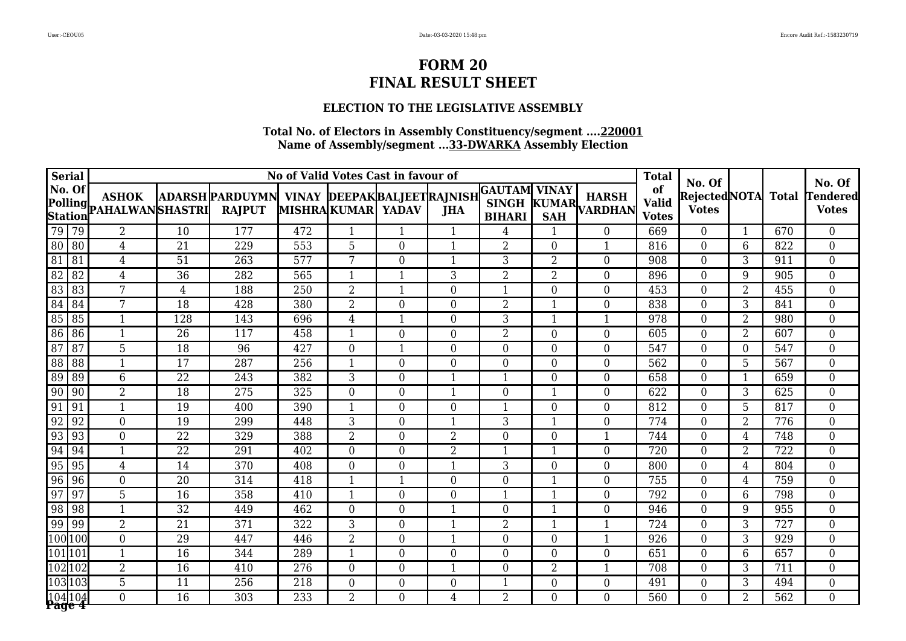### **ELECTION TO THE LEGISLATIVE ASSEMBLY**

|                 | <b>Serial</b>      |                                         |                 |                                                             |                  | No of Valid Votes Cast in favour of |                  |                  |                                                      |                  |                               | <b>Total</b>                       |                                               |                  |              | No. Of                    |
|-----------------|--------------------|-----------------------------------------|-----------------|-------------------------------------------------------------|------------------|-------------------------------------|------------------|------------------|------------------------------------------------------|------------------|-------------------------------|------------------------------------|-----------------------------------------------|------------------|--------------|---------------------------|
|                 | No. Of             | <b>ASHOK</b><br>Polling PAHALWANSHASTRI |                 | ADARSH PARDUYMN VINAY DEEPAKBALJEETRAJNISH<br><b>RAJPUT</b> |                  | MISHRAKUMAR YADAV                   |                  | <b>JHA</b>       | <b>GAUTAM VINAY</b><br><b>SINGH</b><br><b>BIHARI</b> |                  | <b>HARSH</b><br>KUMAR VARDHAN | of<br><b>Valid</b><br><b>Votes</b> | No. Of<br><b>RejectedNOTA</b><br><b>Votes</b> |                  | <b>Total</b> | Tendered <br><b>Votes</b> |
|                 | 79 79              | $\overline{2}$                          | 10              | 177                                                         | 472              | $\mathbf{1}$                        | $\mathbf{1}$     | $\mathbf{1}$     | $\overline{4}$                                       | 1                | $\overline{0}$                | 669                                | $\overline{0}$                                | $\mathbf{1}$     | 670          | $\overline{0}$            |
|                 | $80$   $80$        | $\overline{4}$                          | 21              | 229                                                         | 553              | 5                                   | $\boldsymbol{0}$ | 1                | $\overline{2}$                                       | $\boldsymbol{0}$ | $\mathbf{1}$                  | 816                                | $\boldsymbol{0}$                              | $6\,$            | 822          | $\boldsymbol{0}$          |
| 81              | 81                 | $\overline{4}$                          | 51              | 263                                                         | 577              | 7                                   | $\boldsymbol{0}$ | $\mathbf{1}$     | 3                                                    | $\overline{2}$   | $\overline{0}$                | 908                                | $\boldsymbol{0}$                              | 3                | 911          | $\boldsymbol{0}$          |
| 82              | 82                 | $\overline{4}$                          | 36              | 282                                                         | 565              | $\mathbf{1}$                        | $\mathbf 1$      | 3                | $\overline{2}$                                       | 2                | $\overline{0}$                | 896                                | $\boldsymbol{0}$                              | 9                | 905          | $\boldsymbol{0}$          |
| $\overline{83}$ | 83                 | 7                                       | $\overline{4}$  | 188                                                         | $\overline{250}$ | $\overline{2}$                      | $\mathbf 1$      | $\overline{0}$   | 1                                                    | $\overline{0}$   | $\overline{0}$                | 453                                | $\overline{0}$                                | $\overline{2}$   | 455          | $\boldsymbol{0}$          |
| 84              | l 84               | 7                                       | 18              | 428                                                         | 380              | $\overline{2}$                      | $\boldsymbol{0}$ | $\overline{0}$   | $\overline{2}$                                       | $\mathbf{1}$     | $\theta$                      | 838                                | $\boldsymbol{0}$                              | 3                | 841          | $\boldsymbol{0}$          |
| 85              | 85                 | $\mathbf{1}$                            | 128             | 143                                                         | 696              | 4                                   | $\mathbf{1}$     | $\overline{0}$   | 3                                                    | $\mathbf{1}$     | $\mathbf{1}$                  | 978                                | $\boldsymbol{0}$                              | $\overline{2}$   | 980          | $\overline{0}$            |
| 86              | 86                 | $\mathbf{1}$                            | 26              | 117                                                         | 458              | $\mathbf{1}$                        | $\boldsymbol{0}$ | $\overline{0}$   | $\overline{2}$                                       | $\boldsymbol{0}$ | $\boldsymbol{0}$              | 605                                | $\boldsymbol{0}$                              | $\overline{2}$   | 607          | $\boldsymbol{0}$          |
| $\overline{87}$ | 87                 | 5                                       | 18              | 96                                                          | 427              | $\overline{0}$                      | $\mathbf 1$      | $\overline{0}$   | $\overline{0}$                                       | $\overline{0}$   | $\overline{0}$                | 547                                | $\boldsymbol{0}$                              | $\boldsymbol{0}$ | 547          | $\overline{0}$            |
| 88              | 88                 | $\mathbf{1}$                            | 17              | 287                                                         | 256              | $\mathbf{1}$                        | $\overline{0}$   | $\overline{0}$   | $\overline{0}$                                       | $\overline{0}$   | $\overline{0}$                | 562                                | $\boldsymbol{0}$                              | 5                | 567          | $\boldsymbol{0}$          |
| 89              | 89                 | 6                                       | 22              | 243                                                         | 382              | 3                                   | $\boldsymbol{0}$ | $\mathbf{1}$     | 1                                                    | $\overline{0}$   | $\overline{0}$                | 658                                | $\overline{0}$                                | $\mathbf{1}$     | 659          | $\overline{0}$            |
| $\overline{90}$ | $\sqrt{90}$        | $\overline{2}$                          | $\overline{18}$ | 275                                                         | 325              | $\overline{0}$                      | $\overline{0}$   | $\mathbf{1}$     | $\boldsymbol{0}$                                     | $\mathbf{1}$     | $\overline{0}$                | 622                                | $\overline{0}$                                | $\overline{3}$   | 625          | $\overline{0}$            |
| 91              | 91                 | $\mathbf{1}$                            | 19              | 400                                                         | 390              | $\mathbf{1}$                        | $\boldsymbol{0}$ | $\overline{0}$   | 1                                                    | $\boldsymbol{0}$ | $\overline{0}$                | 812                                | $\boldsymbol{0}$                              | 5                | 817          | $\boldsymbol{0}$          |
| 92              | 92                 | $\overline{0}$                          | 19              | 299                                                         | 448              | 3                                   | $\overline{0}$   | $\mathbf{1}$     | 3                                                    | $\mathbf{1}$     | $\overline{0}$                | 774                                | $\boldsymbol{0}$                              | $\overline{2}$   | 776          | $\boldsymbol{0}$          |
| 93              | 93                 | $\overline{0}$                          | $\overline{22}$ | 329                                                         | 388              | $\overline{2}$                      | $\boldsymbol{0}$ | $\overline{2}$   | $\overline{0}$                                       | $\overline{0}$   | $\mathbf{1}$                  | 744                                | $\boldsymbol{0}$                              | $\overline{4}$   | 748          | $\boldsymbol{0}$          |
| 94              | 94                 | $\mathbf{1}$                            | $\overline{22}$ | 291                                                         | 402              | $\overline{0}$                      | $\overline{0}$   | $\overline{2}$   | 1                                                    | $\mathbf{1}$     | $\theta$                      | 720                                | $\boldsymbol{0}$                              | $\overline{2}$   | 722          | $\boldsymbol{0}$          |
| $\overline{95}$ | 95                 | $\overline{4}$                          | 14              | 370                                                         | 408              | $\overline{0}$                      | $\boldsymbol{0}$ | $\mathbf{1}$     | 3                                                    | $\boldsymbol{0}$ | $\boldsymbol{0}$              | 800                                | $\boldsymbol{0}$                              | $\overline{4}$   | 804          | $\boldsymbol{0}$          |
| 96              | 96                 | $\overline{0}$                          | 20              | 314                                                         | 418              | $\mathbf{1}$                        | $\overline{1}$   | $\overline{0}$   | $\overline{0}$                                       | $\mathbf{1}$     | $\overline{0}$                | 755                                | $\boldsymbol{0}$                              | $\overline{4}$   | 759          | $\boldsymbol{0}$          |
| 97              | $\sqrt{97}$        | 5                                       | 16              | 358                                                         | 410              | $\mathbf{1}$                        | $\boldsymbol{0}$ | $\overline{0}$   | 1                                                    | $\mathbf{1}$     | $\overline{0}$                | 792                                | $\boldsymbol{0}$                              | 6                | 798          | $\boldsymbol{0}$          |
|                 | 98 98              | 1                                       | $\overline{32}$ | 449                                                         | 462              | $\overline{0}$                      | $\boldsymbol{0}$ | $\mathbf{1}$     | $\overline{0}$                                       | $\mathbf{1}$     | $\overline{0}$                | 946                                | $\overline{0}$                                | 9                | 955          | $\overline{0}$            |
|                 | $99$   99          | $\overline{2}$                          | 21              | 371                                                         | 322              | 3                                   | $\boldsymbol{0}$ | $\mathbf{1}$     | $\overline{2}$                                       | 1                | $\mathbf{1}$                  | 724                                | $\boldsymbol{0}$                              | 3                | 727          | $\boldsymbol{0}$          |
|                 | 100 100            | $\overline{0}$                          | 29              | 447                                                         | 446              | $\overline{2}$                      | $\boldsymbol{0}$ | $\mathbf{1}$     | $\boldsymbol{0}$                                     | $\boldsymbol{0}$ | $\mathbf{1}$                  | 926                                | $\boldsymbol{0}$                              | $\overline{3}$   | 929          | $\overline{0}$            |
|                 | 101 101            | $\mathbf{1}$                            | $\overline{16}$ | 344                                                         | 289              | $\mathbf{1}$                        | $\overline{0}$   | $\overline{0}$   | $\overline{0}$                                       | $\overline{0}$   | $\theta$                      | 651                                | $\boldsymbol{0}$                              | $\overline{6}$   | 657          | $\boldsymbol{0}$          |
|                 | 102102             | 2                                       | 16              | 410                                                         | 276              | $\overline{0}$                      | $\boldsymbol{0}$ | $\mathbf{1}$     | $\overline{0}$                                       | 2                | $\mathbf{1}$                  | 708                                | $\boldsymbol{0}$                              | 3                | 711          | $\overline{0}$            |
|                 | 103103             | $\overline{5}$                          | 11              | 256                                                         | 218              | $\boldsymbol{0}$                    | $\boldsymbol{0}$ | $\boldsymbol{0}$ | $\mathbf{1}$                                         | $\boldsymbol{0}$ | $\overline{0}$                | 491                                | $\boldsymbol{0}$                              | 3                | 494          | $\boldsymbol{0}$          |
|                 | 104 104<br>Păge 4' | $\Omega$                                | 16              | 303                                                         | 233              | $\overline{2}$                      | $\overline{0}$   | $\overline{4}$   | $\overline{2}$                                       | $\overline{0}$   | $\theta$                      | 560                                | $\overline{0}$                                | $\overline{2}$   | 562          | $\overline{0}$            |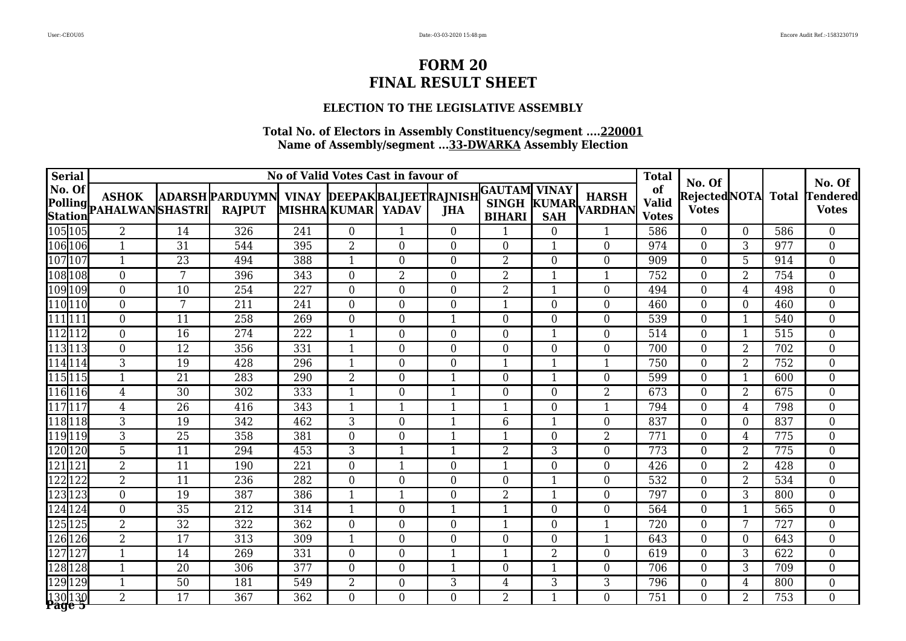### **ELECTION TO THE LEGISLATIVE ASSEMBLY**

| <b>Serial</b>            |                                         |                 |                                                               |     |                   | No of Valid Votes Cast in favour of |                  |                                                |                  |                               | <b>Total</b>                       | No. Of                       |                  |              | No. Of                          |
|--------------------------|-----------------------------------------|-----------------|---------------------------------------------------------------|-----|-------------------|-------------------------------------|------------------|------------------------------------------------|------------------|-------------------------------|------------------------------------|------------------------------|------------------|--------------|---------------------------------|
| No. Of                   | <b>ASHOK</b><br>Polling PAHALWANSHASTRI |                 | ADARSH PARDUYMN VINAY DEEPAK BALJEET RAJNISH<br><b>RAJPUT</b> |     | MISHRAKUMAR YADAV |                                     | <b>JHA</b>       | <b>GAUTAM</b><br><b>SINGH</b><br><b>BIHARI</b> | <b>VINAY</b>     | <b>HARSH</b><br>KUMAR VARDHAN | of<br><b>Valid</b><br><b>Votes</b> | RejectedNOTA<br><b>Votes</b> |                  | <b>Total</b> | <b>Tendered</b><br><b>Votes</b> |
| 105 105                  | $\overline{2}$                          | 14              | 326                                                           | 241 | $\overline{0}$    | $\mathbf{1}$                        | $\overline{0}$   | 1                                              | $\theta$         | $\mathbf{1}$                  | 586                                | $\overline{0}$               | $\overline{0}$   | 586          | $\overline{0}$                  |
| 106 106                  | $\mathbf{1}$                            | 31              | 544                                                           | 395 | $\overline{2}$    | $\boldsymbol{0}$                    | $\theta$         | $\overline{0}$                                 |                  | $\theta$                      | 974                                | $\overline{0}$               | 3                | 977          | $\boldsymbol{0}$                |
| 107 107                  | $\mathbf{1}$                            | 23              | 494                                                           | 388 |                   | $\boldsymbol{0}$                    | $\overline{0}$   | $\overline{2}$                                 | $\theta$         | $\theta$                      | 909                                | $\overline{0}$               | 5                | 914          | $\boldsymbol{0}$                |
| 108 108                  | $\overline{0}$                          | 7               | 396                                                           | 343 | $\overline{0}$    | $\sqrt{2}$                          | $\overline{0}$   | $\overline{2}$                                 |                  | $\mathbf{1}$                  | 752                                | $\boldsymbol{0}$             | $\overline{2}$   | 754          | $\boldsymbol{0}$                |
| 109 109                  | $\Omega$                                | $\overline{10}$ | 254                                                           | 227 | $\Omega$          | $\overline{0}$                      | $\theta$         | $\overline{2}$                                 | $\mathbf{1}$     | $\Omega$                      | 494                                | $\overline{0}$               | $\overline{4}$   | 498          | $\overline{0}$                  |
| 110110                   | $\overline{0}$                          | $\overline{7}$  | $\overline{211}$                                              | 241 | $\overline{0}$    | $\boldsymbol{0}$                    | $\overline{0}$   | $\mathbf{1}$                                   | $\overline{0}$   | $\overline{0}$                | 460                                | $\mathbf 0$                  | $\boldsymbol{0}$ | 460          | $\overline{0}$                  |
| 111111                   | $\overline{0}$                          | 11              | 258                                                           | 269 | $\boldsymbol{0}$  | $\boldsymbol{0}$                    | $\mathbf{1}$     | $\overline{0}$                                 | $\overline{0}$   | $\mathbf{0}$                  | 539                                | $\boldsymbol{0}$             | $\mathbf{1}$     | 540          | $\overline{0}$                  |
| 112112                   | $\boldsymbol{0}$                        | 16              | 274                                                           | 222 | $\mathbf{1}$      | $\boldsymbol{0}$                    | $\boldsymbol{0}$ | $\boldsymbol{0}$                               | 1                | $\boldsymbol{0}$              | 514                                | $\boldsymbol{0}$             | $\mathbf{1}$     | 515          | $\boldsymbol{0}$                |
| 113113                   | $\overline{0}$                          | 12              | 356                                                           | 331 | $\mathbf{1}$      | $\overline{0}$                      | $\overline{0}$   | $\overline{0}$                                 | $\boldsymbol{0}$ | $\overline{0}$                | 700                                | $\overline{0}$               | $\overline{2}$   | 702          | $\boldsymbol{0}$                |
| 114114                   | 3                                       | 19              | 428                                                           | 296 | 1                 | $\mathbf{0}$                        | $\overline{0}$   | $\mathbf 1$                                    | 1                | $\mathbf{1}$                  | 750                                | $\overline{0}$               | $\overline{2}$   | 752          | $\overline{0}$                  |
| 115115                   | 1                                       | 21              | 283                                                           | 290 | $\overline{2}$    | $\boldsymbol{0}$                    | 1                | $\boldsymbol{0}$                               | 1                | $\theta$                      | 599                                | $\boldsymbol{0}$             | $\mathbf{1}$     | 600          | $\boldsymbol{0}$                |
| 116 116                  | 4                                       | $\overline{30}$ | 302                                                           | 333 |                   | $\boldsymbol{0}$                    | 1                | $\boldsymbol{0}$                               | $\Omega$         | $\overline{2}$                | 673                                | $\overline{0}$               | $\overline{2}$   | 675          | $\boldsymbol{0}$                |
| 117117                   | 4                                       | $\overline{26}$ | 416                                                           | 343 |                   | $\mathbf{1}$                        | 1                | 1                                              | $\Omega$         | $\mathbf{1}$                  | 794                                | $\overline{0}$               | $\overline{4}$   | 798          | $\overline{0}$                  |
| 118 118                  | 3                                       | 19              | 342                                                           | 462 | 3                 | $\overline{0}$                      | 1                | 6                                              | $\mathbf{1}$     | $\overline{0}$                | 837                                | $\overline{0}$               | $\mathbf{0}$     | 837          | $\overline{0}$                  |
| 119119                   | $\overline{3}$                          | 25              | 358                                                           | 381 | $\boldsymbol{0}$  | $\boldsymbol{0}$                    | $\mathbf{1}$     | 1                                              | $\overline{0}$   | $\overline{2}$                | 771                                | $\mathbf 0$                  | $\overline{4}$   | 775          | $\overline{0}$                  |
| 120 120                  | 5                                       | 11              | 294                                                           | 453 | 3                 | $\mathbf{1}$                        | $\mathbf{1}$     | $\overline{2}$                                 | 3                | $\overline{0}$                | 773                                | $\boldsymbol{0}$             | $\overline{2}$   | 775          | $\boldsymbol{0}$                |
| 121121                   | $\overline{2}$                          | 11              | 190                                                           | 221 | $\boldsymbol{0}$  | $\mathbf{1}$                        | $\boldsymbol{0}$ | $\mathbf{1}$                                   | $\overline{0}$   | $\boldsymbol{0}$              | 426                                | $\boldsymbol{0}$             | $\overline{2}$   | 428          | $\boldsymbol{0}$                |
| 122122                   | $\overline{2}$                          | 11              | 236                                                           | 282 | $\overline{0}$    | $\boldsymbol{0}$                    | $\overline{0}$   | $\overline{0}$                                 | 1                | $\boldsymbol{0}$              | 532                                | $\overline{0}$               | $\overline{2}$   | 534          | $\boldsymbol{0}$                |
| 123 123                  | $\overline{0}$                          | 19              | 387                                                           | 386 | $\mathbf{1}$      | 1                                   | $\overline{0}$   | $\overline{2}$                                 | 1                | $\overline{0}$                | 797                                | $\overline{0}$               | $\overline{3}$   | 800          | $\overline{0}$                  |
| 124124                   | $\Omega$                                | $\overline{35}$ | 212                                                           | 314 |                   | $\boldsymbol{0}$                    | 1                |                                                | $\theta$         | $\theta$                      | 564                                | $\overline{0}$               | $\mathbf{1}$     | 565          | $\overline{0}$                  |
| 125 125                  | $\overline{2}$                          | 32              | 322                                                           | 362 | $\overline{0}$    | $\boldsymbol{0}$                    | $\overline{0}$   | 1                                              | $\theta$         | $\mathbf{1}$                  | 720                                | $\overline{0}$               | $7\overline{ }$  | 727          | $\overline{0}$                  |
| 126 126                  | $\overline{2}$                          | 17              | 313                                                           | 309 |                   | $\boldsymbol{0}$                    | $\boldsymbol{0}$ | $\boldsymbol{0}$                               | $\theta$         | $\mathbf{1}$                  | 643                                | $\boldsymbol{0}$             | $\boldsymbol{0}$ | 643          | $\overline{0}$                  |
| 127 127                  | $\mathbf{1}$                            | $\overline{14}$ | 269                                                           | 331 | $\overline{0}$    | $\overline{0}$                      | 1                | $\mathbf{1}$                                   | $\overline{2}$   | $\overline{0}$                | 619                                | $\overline{0}$               | $\overline{3}$   | 622          | $\overline{0}$                  |
| 128 128                  | $\mathbf{1}$                            | 20              | 306                                                           | 377 | $\overline{0}$    | $\boldsymbol{0}$                    | $\mathbf{1}$     | $\overline{0}$                                 | $\mathbf{1}$     | $\overline{0}$                | 706                                | $\boldsymbol{0}$             | 3                | 709          | $\boldsymbol{0}$                |
| 129 129                  | 1                                       | 50              | 181                                                           | 549 | $\overline{2}$    | $\boldsymbol{0}$                    | 3                | $\overline{4}$                                 | 3                | 3                             | 796                                | $\boldsymbol{0}$             | $\overline{4}$   | 800          | $\boldsymbol{0}$                |
| 130 130<br><b>Page 5</b> | $\overline{2}$                          | 17              | 367                                                           | 362 | $\overline{0}$    | $\boldsymbol{0}$                    | $\overline{0}$   | 2                                              | 1                | $\overline{0}$                | 751                                | $\overline{0}$               | $\overline{2}$   | 753          | $\overline{0}$                  |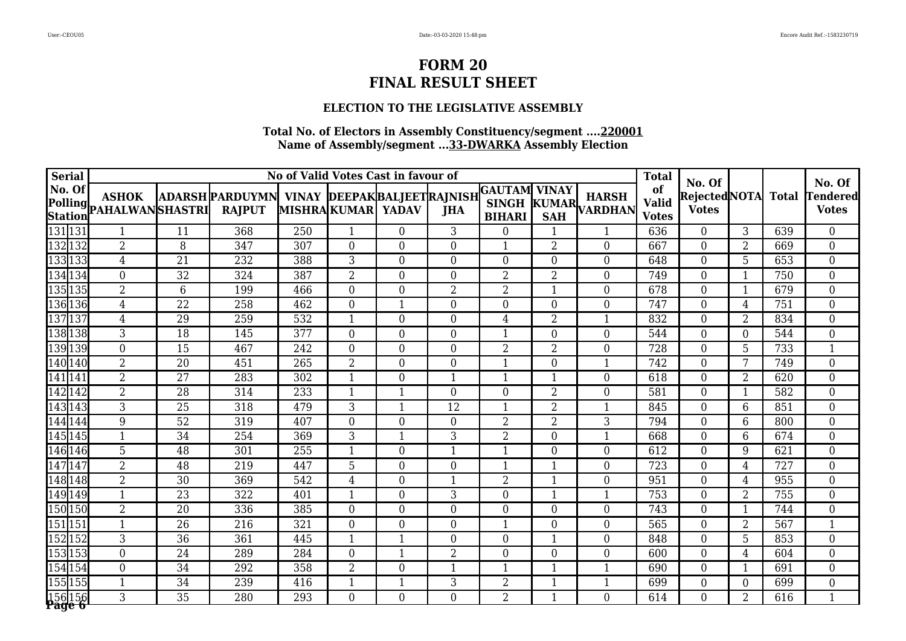### **ELECTION TO THE LEGISLATIVE ASSEMBLY**

| <b>Serial</b>           |                                         |                 |                                                                      |     |                   | No of Valid Votes Cast in favour of |                  |                  |                            |                               | <b>Total</b>                       | No. Of                        |                  |              | No. Of                          |
|-------------------------|-----------------------------------------|-----------------|----------------------------------------------------------------------|-----|-------------------|-------------------------------------|------------------|------------------|----------------------------|-------------------------------|------------------------------------|-------------------------------|------------------|--------------|---------------------------------|
| No. Of                  | <b>ASHOK</b><br>Polling PAHALWANSHASTRI |                 | ADARSH PARDUYMN VINAY DEEPAK BALJEET RAJNISH GAUTAM<br><b>RAJPUT</b> |     | MISHRAKUMAR YADAV |                                     | <b>JHA</b>       | <b>BIHARI</b>    | <b>VINAY</b><br><b>SAH</b> | <b>HARSH</b><br>KUMAR VARDHAN | of<br><b>Valid</b><br><b>Votes</b> | Rejected NOTA<br><b>Votes</b> |                  | <b>Total</b> | <b>Tendered</b><br><b>Votes</b> |
| 131 131                 | $\mathbf{1}$                            | 11              | 368                                                                  | 250 |                   | $\mathbf{0}$                        | $\overline{3}$   | $\overline{0}$   | $\mathbf{1}$               | $\mathbf{1}$                  | 636                                | $\overline{0}$                | $\overline{3}$   | 639          | $\overline{0}$                  |
| 132132                  | $\overline{2}$                          | 8               | 347                                                                  | 307 | $\Omega$          | $\theta$                            | $\Omega$         | 1                | $\overline{2}$             | $\overline{0}$                | 667                                | $\boldsymbol{0}$              | $\overline{2}$   | 669          | $\overline{0}$                  |
| 1331331                 | $\overline{4}$                          | 21              | 232                                                                  | 388 | 3                 | $\mathbf{0}$                        | $\overline{0}$   | $\overline{0}$   | $\overline{0}$             | $\Omega$                      | 648                                | $\boldsymbol{0}$              | 5                | 653          | $\boldsymbol{0}$                |
| 134 134                 | $\overline{0}$                          | 32              | 324                                                                  | 387 | $\overline{2}$    | $\boldsymbol{0}$                    | $\overline{0}$   | $\overline{2}$   | $\overline{2}$             | $\overline{0}$                | 749                                | $\boldsymbol{0}$              | $\mathbf{1}$     | 750          | $\overline{0}$                  |
| 135 135                 | $\overline{2}$                          | 6               | 199                                                                  | 466 | $\Omega$          | $\overline{0}$                      | $\overline{2}$   | $\overline{2}$   | $\mathbf{1}$               | $\Omega$                      | 678                                | $\overline{0}$                | $\mathbf{1}$     | 679          | $\overline{0}$                  |
| 136 136                 | $\overline{4}$                          | $\overline{22}$ | 258                                                                  | 462 | $\overline{0}$    | $\mathbf{1}$                        | $\overline{0}$   | $\overline{0}$   | $\overline{0}$             | $\overline{0}$                | 747                                | $\mathbf 0$                   | $\overline{4}$   | 751          | $\overline{0}$                  |
| 137137                  | $\overline{4}$                          | 29              | 259                                                                  | 532 | $\mathbf{1}$      | $\boldsymbol{0}$                    | $\overline{0}$   | $\overline{4}$   | $\overline{2}$             | $\mathbf{1}$                  | 832                                | $\boldsymbol{0}$              | $\overline{2}$   | 834          | $\overline{0}$                  |
| 138138                  | 3                                       | 18              | 145                                                                  | 377 | $\boldsymbol{0}$  | $\boldsymbol{0}$                    | $\boldsymbol{0}$ | $\mathbf{1}$     | $\boldsymbol{0}$           | $\mathbf 0$                   | 544                                | $\boldsymbol{0}$              | $\boldsymbol{0}$ | 544          | $\boldsymbol{0}$                |
| 139 139                 | $\overline{0}$                          | 15              | 467                                                                  | 242 | $\overline{0}$    | $\overline{0}$                      | $\overline{0}$   | 2                | $\overline{2}$             | $\overline{0}$                | 728                                | $\overline{0}$                | 5                | 733          | 1                               |
| 140 140                 | $\overline{2}$                          | $\overline{20}$ | 451                                                                  | 265 | $\overline{2}$    | $\boldsymbol{0}$                    | $\overline{0}$   | 1                | $\overline{0}$             | $\mathbf{1}$                  | 742                                | $\mathbf{0}$                  | 7                | 749          | $\overline{0}$                  |
| 141 141                 | $\overline{2}$                          | 27              | 283                                                                  | 302 |                   | $\overline{0}$                      | $\mathbf 1$      | 1                | -1                         | $\overline{0}$                | 618                                | $\boldsymbol{0}$              | $\overline{2}$   | 620          | $\overline{0}$                  |
| 142142                  | $\overline{2}$                          | $\overline{28}$ | 314                                                                  | 233 |                   | $\overline{\mathbf{1}}$             | $\theta$         | $\overline{0}$   | $\overline{2}$             | $\theta$                      | 581                                | $\boldsymbol{0}$              | $\mathbf 1$      | 582          | $\boldsymbol{0}$                |
| 143143                  | 3                                       | 25              | 318                                                                  | 479 | 3                 | $\mathbf{1}$                        | $\overline{12}$  | 1                | $\overline{2}$             | $\mathbf{1}$                  | 845                                | $\boldsymbol{0}$              | 6                | 851          | $\overline{0}$                  |
| 144 144                 | 9                                       | $\overline{52}$ | 319                                                                  | 407 | $\overline{0}$    | $\mathbf{0}$                        | $\overline{0}$   | $\overline{2}$   | $\overline{2}$             | 3                             | 794                                | $\overline{0}$                | 6                | 800          | $\overline{0}$                  |
| 145 145                 | $\mathbf{1}$                            | 34              | 254                                                                  | 369 | $\overline{3}$    | $\mathbf{1}$                        | $\overline{3}$   | $\overline{2}$   | $\boldsymbol{0}$           | $\mathbf{1}$                  | 668                                | $\boldsymbol{0}$              | $6\phantom{.}6$  | 674          | $\overline{0}$                  |
| 146146                  | 5                                       | 48              | 301                                                                  | 255 | $\mathbf{1}$      | $\boldsymbol{0}$                    | $\mathbf{1}$     | $\mathbf{1}$     | $\boldsymbol{0}$           | $\overline{0}$                | 612                                | $\overline{0}$                | 9                | 621          | $\overline{0}$                  |
| 147147                  | 2                                       | 48              | 219                                                                  | 447 | 5                 | $\boldsymbol{0}$                    | $\boldsymbol{0}$ | 1                | $\mathbf{1}$               | $\boldsymbol{0}$              | 723                                | $\boldsymbol{0}$              | $\overline{4}$   | 727          | $\boldsymbol{0}$                |
| 148148                  | 2                                       | 30              | 369                                                                  | 542 | $\overline{4}$    | $\boldsymbol{0}$                    | $\mathbf{1}$     | $\overline{2}$   | $\mathbf 1$                | $\overline{0}$                | 951                                | $\overline{0}$                | $\overline{4}$   | 955          | $\overline{0}$                  |
| 149 149                 | $\mathbf{1}$                            | $\overline{23}$ | 322                                                                  | 401 |                   | $\overline{0}$                      | $\overline{3}$   | $\overline{0}$   | $\mathbf 1$                | $\mathbf{1}$                  | 753                                | $\overline{0}$                | $\overline{2}$   | 755          | $\overline{0}$                  |
| 150 150                 | $\overline{2}$                          | $\overline{20}$ | 336                                                                  | 385 | $\Omega$          | $\mathbf{0}$                        | $\Omega$         | $\overline{0}$   | $\overline{0}$             | $\overline{0}$                | 743                                | $\boldsymbol{0}$              | $\mathbf{1}$     | 744          | $\overline{0}$                  |
| 151 151                 | $\mathbf{1}$                            | 26              | 216                                                                  | 321 | $\overline{0}$    | $\overline{0}$                      | $\overline{0}$   | 1                | $\overline{0}$             | $\overline{0}$                | 565                                | $\boldsymbol{0}$              | $\overline{2}$   | 567          | $\mathbf{1}$                    |
| 152 152                 | 3                                       | 36              | 361                                                                  | 445 |                   | $\mathbf{1}$                        | $\boldsymbol{0}$ | $\boldsymbol{0}$ | $\mathbf 1$                | $\overline{0}$                | 848                                | $\boldsymbol{0}$              | 5                | 853          | $\overline{0}$                  |
| 153153                  | $\overline{0}$                          | $\overline{24}$ | 289                                                                  | 284 | $\overline{0}$    | $\mathbf{1}$                        | $\overline{2}$   | $\overline{0}$   | $\overline{0}$             | $\overline{0}$                | 600                                | $\mathbf 0$                   | $\overline{4}$   | 604          | $\overline{0}$                  |
| 154154                  | $\overline{0}$                          | $\overline{34}$ | 292                                                                  | 358 | $\overline{2}$    | $\mathbf{0}$                        | $\overline{1}$   | $\overline{1}$   | $\mathbf{1}$               | $\mathbf{1}$                  | 690                                | $\boldsymbol{0}$              | $\mathbf{1}$     | 691          | $\overline{0}$                  |
| 155155                  | $\mathbf{1}$                            | 34              | 239                                                                  | 416 | $\mathbf{1}$      | $\mathbf{1}$                        | 3                | $\overline{2}$   | $\mathbf{1}$               | 1                             | 699                                | $\boldsymbol{0}$              | $\boldsymbol{0}$ | 699          | $\overline{0}$                  |
| 156156<br><b>Page 6</b> | 3                                       | 35              | 280                                                                  | 293 | $\overline{0}$    | $\boldsymbol{0}$                    | $\overline{0}$   | $\overline{2}$   | $\mathbf{1}$               | $\Omega$                      | 614                                | $\boldsymbol{0}$              | $\overline{2}$   | 616          | $\mathbf{1}$                    |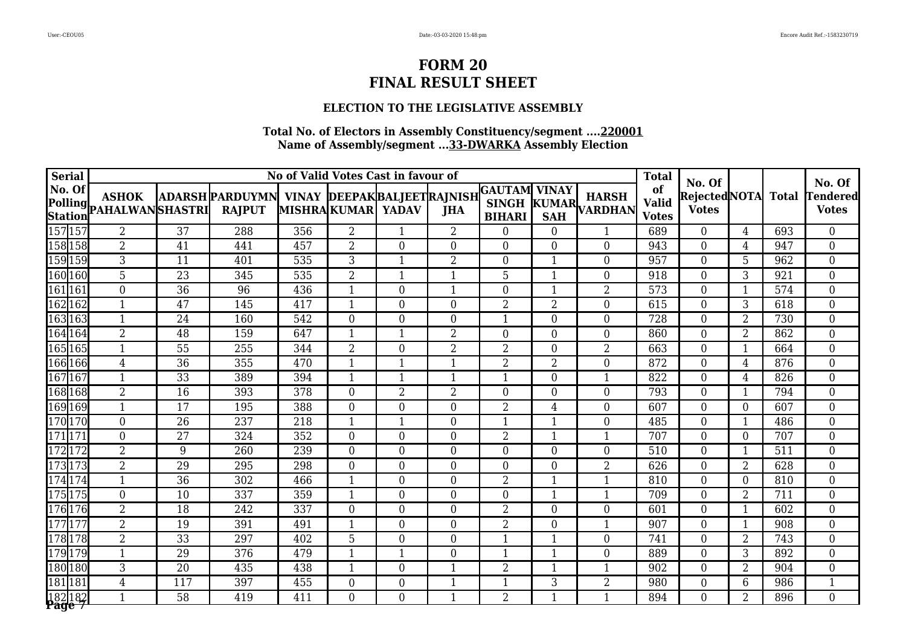### **ELECTION TO THE LEGISLATIVE ASSEMBLY**

| <b>Serial</b> |                          |                                         |                 |                                                               |     |                      | No of Valid Votes Cast in favour of |                  |                                                |                  |                               | <b>Total</b>                       | No. Of                       |                 |              | No. Of                          |
|---------------|--------------------------|-----------------------------------------|-----------------|---------------------------------------------------------------|-----|----------------------|-------------------------------------|------------------|------------------------------------------------|------------------|-------------------------------|------------------------------------|------------------------------|-----------------|--------------|---------------------------------|
| No. Of        |                          | <b>ASHOK</b><br>Polling PAHALWANSHASTRI |                 | ADARSH PARDUYMN VINAY DEEPAK BALJEET RAJNISH<br><b>RAJPUT</b> |     | MISHRA KUMAR   YADAV |                                     | <b>JHA</b>       | <b>GAUTAM</b><br><b>SINGH</b><br><b>BIHARI</b> | <b>VINAY</b>     | <b>HARSH</b><br>KUMAR VARDHAN | of<br><b>Valid</b><br><b>Votes</b> | RejectedNOTA<br><b>Votes</b> |                 | <b>Total</b> | <b>Tendered</b><br><b>Votes</b> |
|               | 157 157                  | $\overline{2}$                          | $\overline{37}$ | 288                                                           | 356 | $\overline{2}$       | $\mathbf{1}$                        | $\overline{2}$   | $\overline{0}$                                 | $\overline{0}$   | $\mathbf{1}$                  | 689                                | $\overline{0}$               | $\overline{4}$  | 693          | $\overline{0}$                  |
|               | 158 158                  | $\overline{2}$                          | $\overline{41}$ | 441                                                           | 457 | $\overline{2}$       | $\boldsymbol{0}$                    | $\overline{0}$   | $\overline{0}$                                 | $\theta$         | $\overline{0}$                | 943                                | $\boldsymbol{0}$             | $\overline{4}$  | 947          | $\boldsymbol{0}$                |
|               | 159 159                  | 3                                       | 11              | 401                                                           | 535 | 3                    | $\overline{1}$                      | $\overline{2}$   | $\boldsymbol{0}$                               | 1                | $\overline{0}$                | 957                                | $\boldsymbol{0}$             | 5               | 962          | $\overline{0}$                  |
|               | 160 160                  | 5                                       | 23              | 345                                                           | 535 | $\overline{2}$       | $\mathbf{1}$                        | $\mathbf{1}$     | 5                                              | $\mathbf{1}$     | $\overline{0}$                | 918                                | $\boldsymbol{0}$             | 3               | 921          | $\boldsymbol{0}$                |
| 161 161       |                          | $\Omega$                                | $\overline{36}$ | 96                                                            | 436 | $\mathbf{1}$         | $\overline{0}$                      | 1                | $\overline{0}$                                 | $\mathbf{1}$     | $\overline{2}$                | 573                                | $\overline{0}$               | $\mathbf{1}$    | 574          | $\overline{0}$                  |
| 162 162       |                          | $\mathbf{1}$                            | $\overline{47}$ | 145                                                           | 417 | $\mathbf{1}$         | $\boldsymbol{0}$                    | $\boldsymbol{0}$ | $\overline{2}$                                 | $\overline{2}$   | $\boldsymbol{0}$              | 615                                | $\boldsymbol{0}$             | 3               | 618          | $\boldsymbol{0}$                |
|               | 163 163                  | $\mathbf{1}$                            | 24              | 160                                                           | 542 | $\overline{0}$       | $\boldsymbol{0}$                    | $\overline{0}$   | $\mathbf{1}$                                   | $\theta$         | $\overline{0}$                | 728                                | $\boldsymbol{0}$             | $\overline{2}$  | 730          | $\boldsymbol{0}$                |
|               | 164 164                  | $\overline{2}$                          | 48              | 159                                                           | 647 | $\mathbf{1}$         | $\mathbf{1}$                        | $\overline{2}$   | $\pmb{0}$                                      | $\boldsymbol{0}$ | $\boldsymbol{0}$              | 860                                | $\boldsymbol{0}$             | $\overline{2}$  | 862          | $\boldsymbol{0}$                |
|               | 165 165                  | 1                                       | 55              | 255                                                           | 344 | $\overline{2}$       | $\boldsymbol{0}$                    | $\overline{2}$   | $\overline{2}$                                 | $\overline{0}$   | $\overline{2}$                | 663                                | $\boldsymbol{0}$             | $\mathbf{1}$    | 664          | $\boldsymbol{0}$                |
|               | 166 166                  | $\overline{4}$                          | 36              | 355                                                           | 470 | $\mathbf{1}$         | $\mathbf{1}$                        | $\mathbf{1}$     | $\overline{2}$                                 | $\overline{2}$   | $\boldsymbol{0}$              | 872                                | $\overline{0}$               | $\overline{4}$  | 876          | $\boldsymbol{0}$                |
|               | 167167                   | 1                                       | 33              | 389                                                           | 394 | 1                    | $\mathbf{1}$                        | 1                | 1                                              | $\overline{0}$   | 1                             | 822                                | $\overline{0}$               | $\overline{4}$  | 826          | $\boldsymbol{0}$                |
|               | 168 168                  | $\overline{2}$                          | $\overline{16}$ | 393                                                           | 378 | $\overline{0}$       | $\overline{2}$                      | $\overline{2}$   | $\overline{0}$                                 | $\overline{0}$   | $\mathbf{0}$                  | 793                                | $\boldsymbol{0}$             | $\mathbf{1}$    | 794          | $\overline{0}$                  |
|               | 169 169                  | 1                                       | 17              | 195                                                           | 388 | $\Omega$             | $\boldsymbol{0}$                    | $\overline{0}$   | $\overline{2}$                                 | 4                | $\mathbf{0}$                  | 607                                | $\overline{0}$               | $\overline{0}$  | 607          | $\boldsymbol{0}$                |
|               | 170 170                  | $\Omega$                                | 26              | 237                                                           | 218 |                      | $\mathbf{1}$                        | $\overline{0}$   | 1                                              | 1                | $\theta$                      | 485                                | $\overline{0}$               | $\mathbf{1}$    | 486          | $\overline{0}$                  |
| 171 171       |                          | $\Omega$                                | $\overline{27}$ | 324                                                           | 352 | $\overline{0}$       | $\overline{0}$                      | $\overline{0}$   | $\overline{2}$                                 |                  | $\mathbf{1}$                  | 707                                | $\overline{0}$               | $\mathbf{0}$    | 707          | $\boldsymbol{0}$                |
| 172 172       |                          | $\overline{2}$                          | 9               | 260                                                           | 239 | $\Omega$             | $\overline{0}$                      | $\theta$         | $\overline{0}$                                 | $\theta$         | $\theta$                      | 510                                | $\overline{0}$               | $\mathbf{1}$    | 511          | $\overline{0}$                  |
|               | 173173                   | $\overline{2}$                          | $\overline{29}$ | $\overline{295}$                                              | 298 | $\overline{0}$       | $\boldsymbol{0}$                    | $\overline{0}$   | $\overline{0}$                                 | $\theta$         | $\overline{2}$                | 626                                | $\boldsymbol{0}$             | $\overline{2}$  | 628          | $\boldsymbol{0}$                |
|               | 174174                   | $\mathbf{1}$                            | 36              | 302                                                           | 466 | $\mathbf{1}$         | $\mathbf{0}$                        | $\overline{0}$   | $\overline{2}$                                 | $\mathbf{1}$     | $\mathbf{1}$                  | 810                                | $\overline{0}$               | $\overline{0}$  | 810          | $\overline{0}$                  |
|               | 175 175                  | $\boldsymbol{0}$                        | $\overline{10}$ | 337                                                           | 359 | $\mathbf{1}$         | $\boldsymbol{0}$                    | $\boldsymbol{0}$ | $\overline{0}$                                 | $\mathbf{1}$     | $\mathbf{1}$                  | 709                                | $\mathbf 0$                  | $\overline{2}$  | 711          | $\overline{0}$                  |
|               | 176 176                  | $\overline{2}$                          | 18              | 242                                                           | 337 | $\boldsymbol{0}$     | $\boldsymbol{0}$                    | $\boldsymbol{0}$ | $\overline{2}$                                 | $\boldsymbol{0}$ | $\overline{0}$                | 601                                | $\overline{0}$               | $\mathbf{1}$    | 602          | $\boldsymbol{0}$                |
|               | 177177                   | $\overline{2}$                          | 19              | 391                                                           | 491 |                      | $\boldsymbol{0}$                    | $\boldsymbol{0}$ | $\overline{2}$                                 | $\boldsymbol{0}$ | $\mathbf{1}$                  | 907                                | $\boldsymbol{0}$             | $\mathbf{1}$    | 908          | $\boldsymbol{0}$                |
|               | 178 178                  | $\overline{2}$                          | 33              | 297                                                           | 402 | 5                    | $\boldsymbol{0}$                    | $\boldsymbol{0}$ | 1                                              | $\mathbf 1$      | $\overline{0}$                | 741                                | $\mathbf 0$                  | $\overline{2}$  | 743          | $\boldsymbol{0}$                |
|               | 179 179                  | $\mathbf{1}$                            | 29              | 376                                                           | 479 |                      | $\mathbf{1}$                        | $\overline{0}$   | $\mathbf{1}$                                   | $\mathbf{1}$     | $\mathbf{0}$                  | 889                                | $\overline{0}$               | 3               | 892          | $\overline{0}$                  |
|               | 180 180                  | 3                                       | 20              | 435                                                           | 438 |                      | $\boldsymbol{0}$                    | 1                | $\overline{2}$                                 |                  |                               | 902                                | $\boldsymbol{0}$             | $\overline{2}$  | 904          | $\boldsymbol{0}$                |
| 181 181       |                          | 4                                       | 117             | 397                                                           | 455 | $\boldsymbol{0}$     | $\boldsymbol{0}$                    | 1                | $\mathbf{1}$                                   | 3                | $\overline{2}$                | 980                                | $\boldsymbol{0}$             | $6\phantom{.}6$ | 986          | $\mathbf{1}$                    |
|               | 182 182<br><b>Page</b> 7 | $\mathbf{1}$                            | 58              | 419                                                           | 411 | $\Omega$             | $\overline{0}$                      | 1                | $\overline{2}$                                 | 1                | $\mathbf{1}$                  | 894                                | $\Omega$                     | $\overline{2}$  | 896          | $\overline{0}$                  |